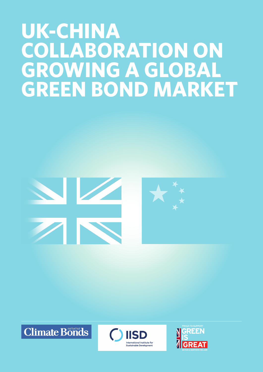# **UK-CHINA COLLABORATION ON GROWING A GLOBAL GREEN BOND MARKET**



**Climate Bonds** 



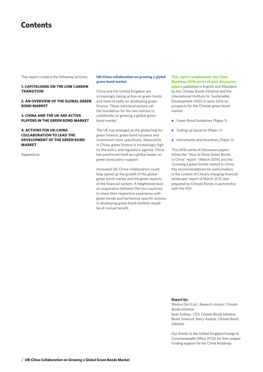### **Contents**

This report contains the following sections:

#### **1. CAPITALISING ON THE LOW CARBON TRANSITION**

#### **2. AN OVERVIEW OF THE GLOBAL GREEN BOND MARKET**

#### **3. CHINA AND THE UK ARE ACTIVE PLAYERS IN THE GREEN BOND MARKET**

#### **4. ACTIONS FOR UK-CHINA COLLABORATION TO LEAD THE DEVELOPMENT OF THE GREEN BOND MARKET**

Appendices

#### **UK-China collaboration on growing a global green bond market**

China and the United Kingdom are increasingly taking action on green bonds and more broadly on developing green finance. These individual actions set the foundation for the two nations to collaborate on growing a global green bond market.

The UK has emerged as the global hub for green finance, green bond issuance and investment more specifically. Meanwhile in China, green finance is increasingly high on the policy and regulatory agenda. China has positioned itself as a global leader on green bond policy support.

Increased UK-China collaboration could help speed up the growth of the global green bond market and the green aspects of the financial system. A heightened level of cooperation between the two countries to share their respective experience with green bonds and harmonise specific actions in developing green bond markets would be of mutual benefit.

**This report complements the China Roadmap 2016 series of joint discussion papers** published in English and Mandarin by the Climate Bonds Initiative and the International Institute for Sustainable Development (IISD) in early 2016 on prospects for the Chinese green bond market:

- Green Bond Guidelines (Paper 1)
- Scaling up Issuance (Paper 2)
- **Instruments and Incentives (Paper 3)**

This 2016 series of discussion papers follow the "How to Grow Green Bonds in China" report<sup>1</sup> (March 2014) and the 'Growing a green bonds market in China: Key recommendations for policymakers in the context of China's changing financial landscape' report of March 2015 also prepared by Climate Bonds in partnership with the IISD.

#### **Report by:**

Weihui Dai (Lily), *Research Analyst, Climate Bonds Initiative* Sean Kidney, *CEO, Climate Bonds Initiative* Beate Sonerud, *Policy Analyst, Climate Bonds Initiative*

Our thanks to the United Kingdom Foreign & Commonwealth Office (FCO) for their project funding support for the China Roadmap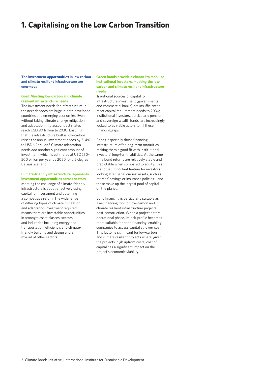### **1. Capitalising on the Low Carbon Transition**

#### **The investment opportunities in low carbon and climate resilient infrastructure are enormous**

#### **Goal: Meeting low-carbon and climate resilient infrastructure needs**

The investment needs for infrastructure in the next decades are huge in both developed countries and emerging economies. Even without taking climate change mitigation and adaptation into account estimates reach USD 90 trillion to 2030. Ensuring that the infrastructure built is low-carbon raises the annual investment needs by 3–4% to USD6.2 trillion.<sup>2</sup> Climate adaptation needs add another significant amount of investment, which is estimated at USD250– 500 billion per year by 2050 for a 2-degree Celsius scenario.

#### **Climate-friendly infrastructure represents investment opportunities across sectors**

Meeting the challenge of climate-friendly infrastructure is about effectively using capital for investment and obtaining a competitive return. The wide range of differing types of climate mitigation and adaptation investment required means there are investable opportunities in amongst asset classes, sectors and industries including energy and transportation, efficiency, and climatefriendly building and design and a myriad of other sectors.

#### **Green bonds provide a channel to mobilise institutional investors, meeting the lowcarbon and climate resilient infrastructure needs**

Traditional sources of capital for infrastructure investment (governments and commercial banks) are insufficient to meet capital requirement needs to 2030; institutional investors, particularly pension and sovereign wealth funds, are increasingly looked to as viable actors to fill these financing gaps.

Bonds, especially those financing infrastructure offer long-term maturities, making them a good fit with institutional investors' long-term liabilities. At the same time bond returns are relatively stable and predictable when compared to equity. This is another important feature for investors looking after beneficiaries' assets, such as retirees' savings or insurance policies – and these make up the largest pool of capital on the planet.

Bond financing is particularly suitable as a re-financing tool for low-carbon and climate resilient infrastructure projects post-construction. When a project enters operational phase, its risk-profile becomes more suitable for bond financing, enabling companies to access capital at lower cost. This factor is significant for low-carbon and climate resilient projects where, given the projects' high upfront costs, cost of capital has a significant impact on the project's economic viability.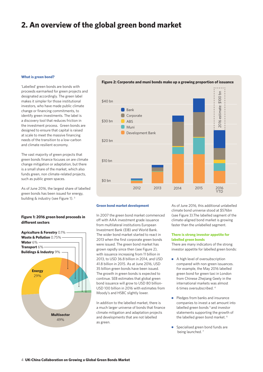### **2. An overview of the global green bond market**

#### **What is green bond?**

'Labelled' green bonds are bonds with proceeds earmarked for green projects and designated accordingly. The green label makes it simpler for those institutional investors, who have made public climate change or financing commitments, to identify green investments. The label is a discovery tool that reduces friction in the investment process. Green bonds are designed to ensure that capital is raised at scale to meet the massive financing needs of the transition to a low-carbon and climate resilient economy.

The vast majority of green projects that green bonds finance focuses on are climate change mitigation or adaptation, but there is a small share of the market, which also funds green, non climate-related projects, such as public green spaces.

As of June 2016, the largest share of labelled green bonds has been issued for energy, building & industry (see Figure 1).<sup>3</sup>

#### **Figure 1: 2016 green bond proceeds in different sectors**





#### **Figure 2: Corporate and muni bonds make up a growing proportion of issuance**

#### **Green bond market development**

In 2007 the green bond market commenced off with AAA investment grade issuance from multilateral institutions European Investment Bank (EIB) and World Bank. The wider bond market started to react in 2013 when the first corporate green bonds were issued. The green bond market has grown rapidly since then (see Figure 2), with issuance increasing from 11 billion in 2013, to USD 36.8 billion in 2014, and USD 41.8 billion in 2015. As at June 2016, USD 35 billion green bonds have been issued. The growth in green bonds is expected to continue. SEB estimates that global green bond issuance will grow to USD 80 billion-USD 100 billion in 2016 with estimates from Moody's and HSBC slightly lower.

In addition to the labelled market, there is a much larger universe of bonds that finance climate mitigation and adaptation projects and developments that are not labelled as green.

As of June 2016, this additional unlabelled climate bond universe stood at \$576bn (see Figure 3).The labelled segment of the climate-aligned bond market is growing faster than the unlabelled segment.

#### **There is strong investor appetite for labelled green bonds**

There are many indicators of the strong investor appetite for labelled green bonds:

- A high level of oversubscription compared with non-green issuances. For example, the May 2016 labelled green bond for green taxi in London from Chinese Zhejiang Geely in the international markets was almost 6 times oversubscribed. 4
- Pledges from banks and insurance companies to invest a set amount into labelled green bonds<sup>5</sup> and investor statements supporting the growth of the labelled green bond market. 6
- Specialised green bond funds are being launched.<sup>7</sup>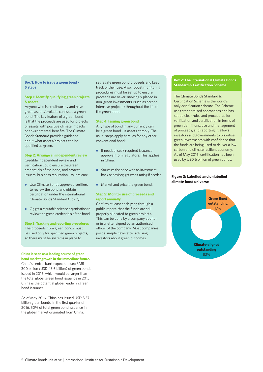### **5 steps**

#### **Step 1: Identify qualifying green projects & assets**

Anyone who is creditworthy and have green assets/projects can issue a green bond. The key feature of a green bond is that the proceeds are used for projects or assets with positive climate impacts or environmental benefits. The Climate Bonds Standard provides guidance about what assets/projects can be qualified as green.

#### **Step 2: Arrange an independent review**

Credible independent review and verification could ensure the green credentials of the bond, and protect issuers' business reputation. Issuers can:

- Use Climate Bonds approved verifiers to review the bond and obtain certification under the international Climate Bonds Standard (Box 2).
- Or, get a reputable science organisation to review the green credentials of the bond.

#### **Step 3: Tracking and reporting procedures**  The proceeds from green bonds must be used only for specified green projects, so there must be systems in place to

#### **China is seen as a leading source of green bond market growth in the immediate future.**  China's central bank expects to see RMB

300 billion (USD 45.6 billion) of green bonds issued in 2016, which would be larger than the total global green bond issuance in 2015. China is the potential global leader in green bond issuance.

As of May 2016, China has issued USD 8.57 billion green bonds. In the first quarter of 2016, 50% of total green bond issuance in the global market originated from China.

**Box 1: How to issue a green bond –** segregate green bond proceeds and keep<br>**E** standard & Certification Scheme track of their use. Also, robust monitoring procedures must be set up to ensure proceeds are never knowingly placed in non-green investments (such as carbon intensive projects) throughout the life of the green bond.

#### **Step 4: Issuing green bond**

Any type of bond in any currency can be a green bond – if assets comply. The usual steps apply here, as for any other conventional bond:

- **If needed, seek required issuance** approval from regulators. This applies in China.
- Structure the bond with an investment bank or advisor; get credit rating if needed.
- Market and price the green bond.

#### **Step 5: Monitor use of proceeds and report annually**

Confirm at least each year, through a public report, that the funds are still properly allocated to green projects. This can be done by a company auditor or in a letter signed by an authorised officer of the company. Most companies post a simple newsletter advising investors about green outcomes.

### **Box 2: The international Climate Bonds**

The Climate Bonds Standard & Certification Scheme is the world's only certification scheme. The Scheme uses standardised approaches and has set up clear rules and procedures for verification and certification in terms of green definitions, use and management of proceeds, and reporting. It allows investors and governments to prioritise green investments with confidence that the funds are being used to deliver a low carbon and climate resilient economy. As of May 2016, certification has been used by USD 6 billion of green bonds.

#### **Figure 3: Labelled and unlabelled climate bond universe**

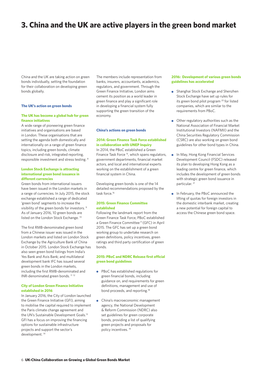### **3. China and the UK are active players in the green bond market**

China and the UK are taking action on green bonds individually, setting the foundation for their collaboration on developing green bonds globally.

#### **The UK's action on green bonds**

#### **The UK has become a global hub for green finance initiatives**

A wide range of pioneering green finance initiatives and organisations are based in London. These organisations that are setting the agenda both domestically and internationally on a range of green finance topics, including green bonds, climate disclosure and risk, integrated reporting, responsible investment and stress testing. <sup>8</sup>

#### **London Stock Exchange is attracting international green bond issuance in different currencies**

Green bonds from international issuers have been issued in the London markets in a range of currencies. In July 2015, the stock exchange established a range of dedicated 'green bond' segments to increase the visibility of the green bonds for investors. 9 As of January 2016, 10 green bonds are listed on the London Stock Exchange.<sup>10</sup>

The first RMB-denominated green bond from a Chinese issuer was issued in the London markets and listed on London Stock Exchange by the Agriculture Bank of China in October 2015. London Stock Exchange has also seen green bond listings from India's Yes Bank and Axis Bank; and multilateral development bank IFC has issued several green bonds in the London markets, including the first RMB-denominated and INR-denominated green bonds.<sup>11 12</sup>

#### **City of London Green Finance Initiative established in 2016**

In January 2016, the City of London launched the Green Finance Initiative (GFI), aiming to mobilise the capital required to implement the Paris climate change agreement and the UN's Sustainable Development Goals.<sup>13</sup> GFI has a focus on improving the financing options for sustainable infrastructure projects and support the sector's development. 14

The members include representation from banks, insurers, accountants, academics, regulators, and government. Through the Green Finance Initiative, London aims cement its position as a world leader in green finance and play a significant role in developing a financial system fully supporting the green transition of the economy.

#### **China's actions on green bonds**

#### **2014: Green Finance Task Force established in collaboration with UNEP Inquiry**

In 2014, the PBoC established a Green Finance Task Force 15, which spans regulators, government departments, financial market actors, and local and international experts working on the establishment of a green financial system in China.

Developing green bonds is one of the 14 detailed recommendations proposed by the task force<sup>16</sup>

#### **2015: Green Finance Committee established**

Following the landmark report from the Green Finance Task Force, PBoC established a Green Finance Committee<sup>17</sup> (GFC) in April 2015. The GFC has set up a green bond working group to undertake research on green definitions, policy incentives, green ratings and third party certification of green bonds.

#### **2015: PBoC and NDRC Release first official green bond guidelines**

- PBoC has established regulations for green financial bonds, including guidance on, and requirements for green definitions, management and use of bond proceeds, and reporting.<sup>18</sup>
- China's macroeconomic management agency, the National Development & Reform Commission (NDRC) also set guidelines for green corporate bonds, providing a list of qualifying green projects and proposals for policy incentives. 19

#### **2016: Development of various green bonds guidelines has accelerated**

- **•** Shanghai Stock Exchange and Shenzhen Stock Exchange have set up rules for its green bond pilot program 20 for listed companies, which are similar to the requirements from PBoC.
- Other regulatory authorities such as the National Association of Financial Market Institutional Investors (NAFMII) and the China Securities Regulatory Commission (CSRC) are also working on green bond guidelines for other bond types in China.
- In May, Hong Kong Financial Services Development Council (FSDC) released its plan to developing Hong Kong as a leading centre for green finance, which includes the development of green bonds with strategic green bond issuance in particular.<sup>21</sup>
- **In February, the PBoC announced the** lifting of quotas for foreign investors in the domestic interbank market, creating a new potential for foreign capital to access the Chinese green bond space.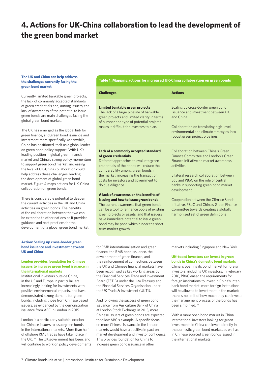### **4. Actions for UK-China collaboration to lead the development of the green bond market**

#### **The UK and China can help address the challenges currently facing the green bond market**

Currently, limited bankable green projects, the lack of commonly accepted standards of green credentials and, among issuers, the lack of awareness of the potential to issue green bonds are main challenges facing the global green bond market.

The UK has emerged as the global hub for green finance, and green bond issuance and investment more specifically. Meanwhile, China has positioned itself as a global leader on green bond policy support. With UK's leading position in global green financial market and China's strong policy momentum to support green bond market, increasing the level of UK-China collaboration could help address these challenges, leading the development of global green bond market. Figure 4 maps actions for UK-China collaboration on green bonds.

There is considerable potential to deepen the current activities in the UK and China activities on green bonds. The benefits of the collaboration between the two can be extended to other nations as it provides guidance and best practices for the development of a global green bond market.

#### **Action: Scaling up cross-border green bond issuance and investment between UK and China**

#### **London provides foundation for Chinese issuers to increase green bond issuance in the international markets**

Institutional investors outside China, in the US and Europe in particular, are increasingly looking for investments with positive environmental impacts, and have demonstrated strong demand for green bonds, including those from Chinese based issuers, as evidenced by the demonstration issuance from ABC in London in 2015.

London is a particularly suitable location for Chinese issuers to issue green bonds in the international markets. More than half of offshore RMB trades have taken place in the UK. 22 The UK government has been, and will continue to work on policy developments **Table 1: Mapping actions for increased UK-China collaboration on green bonds**

| <b>Challenges</b>                                                                                                                                                                                                                                                                                                                                                                                                                                                                                                                                                                                                                        | <b>Actions</b>                                                                                                                                                                                                                                                                                                                                                                                                                                        |
|------------------------------------------------------------------------------------------------------------------------------------------------------------------------------------------------------------------------------------------------------------------------------------------------------------------------------------------------------------------------------------------------------------------------------------------------------------------------------------------------------------------------------------------------------------------------------------------------------------------------------------------|-------------------------------------------------------------------------------------------------------------------------------------------------------------------------------------------------------------------------------------------------------------------------------------------------------------------------------------------------------------------------------------------------------------------------------------------------------|
| Limited bankable green projects<br>The lack of a large pipeline of bankable<br>green projects and limited clarity in terms<br>of number and type of potential projects<br>makes it difficult for investors to plan.                                                                                                                                                                                                                                                                                                                                                                                                                      | Scaling up cross-border green bond<br>issuance and investment between UK<br>and China<br>Collaboration on translating high-level<br>environmental and climate strategies into<br>robust green project pipelines                                                                                                                                                                                                                                       |
| Lack of a commonly accepted standard<br>of green credentials<br>Different approaches to evaluate green<br>credentials of the bonds will reduce the<br>comparability among green bonds in<br>the market, increasing the transaction<br>costs for investors and government to<br>do due diligence.<br>A lack of awareness on the benefits of<br>issuing and how to issue green bonds<br>The current awareness that green bonds<br>can be a tool to refinance pools of existing<br>green projects or assets, and that issuers<br>have immediate potential to issue green<br>bond may be poor, which hinder the short<br>term market growth. | Collaboration between China's Green<br>Finance Committee and London's Green<br>Finance Initiative on market awareness<br>activities<br>Bilateral research collaboration between<br>BoE and PBoC on the role of central<br>banks in supporting green bond market<br>development<br>Cooperation between the Climate Bonds<br>Initiative, PBoC and China's Green Finance<br>Committee towards creating a globally<br>harmonised set of green definitions |
| for RMB internationalisation and green<br>finance: the DMD hand issuence the                                                                                                                                                                                                                                                                                                                                                                                                                                                                                                                                                             | markets including Singapore and New York.                                                                                                                                                                                                                                                                                                                                                                                                             |

finance: the RMB bond issuance, the development of green finance, and the reinforcement of connections between the UK and Chinese financial markets have been recognised as key working areas by the Financial Services Trade and Investment Board (FSTIB) under the HM Treasury and the Financial Services Organisation under the UK Trade & Investment (UKTI).

And following the success of green bond issuance from Agriculture Bank of China at London Stock Exchange in 2015, more Chinese issuers of green bonds are expected to follow ABC's example. A specific focus on more Chinese issuance in the London markets would have a positive impact on market development and investor confidence. This provides foundation for China to increase green bond issuance in other

### **UK-based investors can invest in green**

**bonds in China's domestic bond markets** China is opening its bond market for foreign investors, including UK investors. In February 2016, PBoC eased the requirements for foreign institutions to invest in China's interbank bond market: more foreign institutions will be allowed to investment in the market; there is no limit of how much they can invest; the management process of the bonds has been simplified. <sup>23</sup>

With a more open bond market in China, international investors looking for green investments in China can invest directly in the domestic green bond market, as well as in Chinese sourced green bonds issued in the international markets.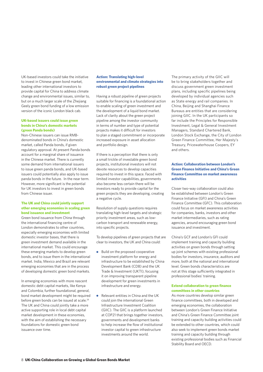UK-based investors could take the initiative to invest in Chinese green bond market, leading other international investors to provide capital for China to address climate change and environmental issues, similar to, but on a much larger scale of the Zhejiang Geely green bond funding of a low emission version of the iconic London black cab.

#### **UK-based issuers could issue green bonds in China's domestic markets (green Panda bonds)**

Non-Chinese issuers can issue RMBdenominated bonds in China's domestic market, called Panda bonds, if given regulatory approval. At present Panda bonds account for a marginal share of issuance in the Chinese market. There is currently some demand from international issuers to issue green panda bonds, and UK-based issuers could potentially also apply to issue panda bonds in the future. In the near term. However, more significant is the potential for UK investors to invest in green bonds from Chinese issuer.

#### **The UK and China could jointly support other emerging economies in scaling green bond issuance and investment**

Green bond issuance from China through the international financing centre of London demonstrates to other countries, especially emerging economies with limited domestic investor bases, that there is green investment demand available in the international market. This could encourage these emerging markets to develop green bonds, and to issue them in the international market. India, Mexico and Brazil are relevant emerging economies that are in the process of developing domestic green bond markets.

In emerging economies with more nascent domestic debt capital markets, like Kenya and Colombia, further foundational, general, bond market development might be required before green bonds can be issued at scale.<sup>24</sup> The UK and China could jointly take a more active supporting role in local debt capital market development in these economies, with the aim of establishing the necessary foundations for domestic green bond issuance over time.

#### **Action: Translating high-level environmental and climate strategies into robust green project pipelines**

Having a robust pipeline of green projects suitable for financing is a foundational action to enable scaling of green investment and the development of a liquid bond market. Lack of clarity about the green project pipeline among the investor community in terms of number and type of potential projects makes it difficult for investors to plan a staged commitment or incorporate increased exposure in asset allocation and portfolio design.

If there is a perception that there is only a small trickle of investable green bond projects, institutional investors will not devote resources to develop capacities required to invest in this space. Faced with limited investor capabilities, governments also become less certain there will be investors ready to provide capital for the green projects they are developing, creating a negative cycle.

Resolution of supply questions requires translating high-level targets and strategic priority investment areas, such as lowcarbon transport and renewable energy, into specific projects.

To develop pipelines of green projects that are clear to investors, the UK and China could:

- Build on the proposed cooperative  $\bullet$ investment platform for energy and infrastructure to be established by China Development Bank (CDB) and the UK Trade & Investment (UKTI), focusing it on improving transparent pipeline development for green investments in infrastructure and energy.
- Relevant entities in China and the UK  $\bullet$ could join the international Green Infrastructure Investment Coalition (GIIC). The GIIC is a platform launched at COP21 that brings together investors, governments and development banks to help increase the flow of institutional investor capital to green infrastructure investments around the world.

The primary activity of the GIIC will be to bring stakeholders together and discuss government green investment plans, including specific pipelines being developed by individual agencies such as State energy and rail companies. In China, Beijing and Shanghai Finance Bureaus are entities that are considering joining GIIC. In the UK participants so far include the Principles for Responsible Investment, Legal & General Investment Managers, Standard Chartered Bank, London Stock Exchange, the City of London Green Finance Committee, Her Majesty's Treasury, Pricewaterhouse Coopers, EY and others.

#### **Action: Collaboration between London's Green Finance Initiative and China's Green Finance Committee on market awareness activities**

Closer two-way collaboration could also be established between London's Green Finance Initiative (GFI) and China's Green Finance Committee (GFC). This collaboration could focus on market awareness activities for companies, banks, investors and other market intermediaries, such as rating agencies, around encouraging green bond issuance and investment.

China's GCF and London's GFI could implement training and capacity building activities on green bonds through setting up joint schemes with existing professional bodies for investors, insurance, auditors and more, both at the national and international level. Green bonds characteristics are not at this stage sufficiently integrated in professional bodies' training.

#### **Extend collaboration to green finance committees in other countries**

As more countries develop similar green finance committees, both in developed and emerging economies, the collaboration between London's Green Finance Initiative and China's Green Finance Committee joint training and capacity building activities could be extended to other countries, which could also seek to implement green bonds market training and capacity building through existing professional bodies such as Financial Stability Board and OECD.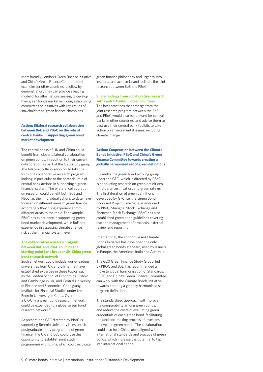More broadly, London's Green Finance Initiative and China's Green Finance Committee set examples for other countries to follow by demonstration. They can provide a leading model of for other nations seeking to develop their green bonds market including establishing committees or initiatives with key groups of stakeholders as 'green finance champions'.

#### **Action: Bilateral research collaboration between BoE and PBoC on the role of central banks in supporting green bond market development**

The central banks of UK and China could benefit from closer bilateral collaboration on green bonds, in addition to their current collaboration as part of the G20 study group. The bilateral collaboration could take the form of a collaborative research program looking in particular at the potential role of central bank actions in supporting a green financial system. The bilateral collaboration on research could benefit both BoE and PBoC, as their individual actions to date have focused on different areas of green finance accordingly they bring experience from different areas to the table. For example, PBoC has experience in supporting green bond market development, while BoE has experience in assessing climate change risk at the financial system level.

#### **The collaborative research program between BoE and PBoC could be the starting point for a broader UK-China green bond research network**

Such a network could include world-leading universities from UK and China that have established expertise in these topics, such as the London School of Economics, Oxford and Cambridge in UK, and Central University of Finance and Economics, Chongyang Institute for Financial Studies under the Renmin University in China. Over time, a UK-China green bond research network could be expanded to a global green bond research network.25

At present, the GFC directed by PBoC is supporting Renmin University to establish postgraduate study programme of green finance. The UK and BoE could use this opportunity to establish joint study programmes with China, which could inculcate green finance philosophy and urgency into institutes and academia, and facilitate the joint research between BoE and PBoC.

#### **Share findings from collaborative research with central banks in other countries**

The best practices that emerge from the joint research program between the BoE and PBoC would also be relevant for central banks in other countries, and advise them to best use their central bank toolkits to take action on environmental issues, including climate change.

#### **Action: Cooperation between the Climate Bonds Initiative, PBoC and China's Green Finance Committee towards creating a globally harmonised set of green definitions**

Currently, the green bond working group under the GFC, which is directed by PBoC is conducting research on green definitions, third party certification, and green ratings. The first iteration of green definitions developed by GFC, i.e. the Green Bond Endorsed Project Catalogue, is endorsed by PBoC, Shanghai Stock Exchange and Shenzhen Stock Exchange. PBoC has also established green bond guidelines covering use and management of proceeds, external review and reporting.

International, the London-based Climate Bonds Initiative has developed the only global green bonds standard, used by issuers in Europe, the Americas, India and Australia.

The G20 Green Finance Study Group, led by PBOC and BoE, has recommended a move to global harmonisation of Standards. PBOC and China's Green Finance Committee can work with the Climate Bonds Initiative towards creating a globally harmonised set of green definitions.

The standardised approach will improve the comparability among green bonds, and reduce the costs of evaluating green credentials of each green bond, facilitating the decision-making process of investors to invest in green bonds. The collaboration could also help China keep aligned with international standards and practice of green bonds, which increase the potential to tap into international capital.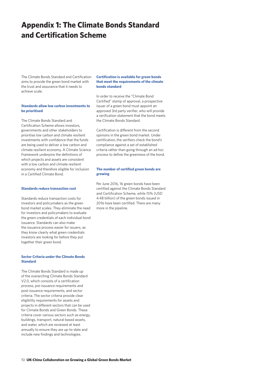### **Appendix 1: The Climate Bonds Standard and Certification Scheme**

The Climate Bonds Standard and Certification aims to provide the green bond market with the trust and assurance that it needs to achieve scale.

#### **Standards allow low carbon investments to be prioritised**

The Climate Bonds Standard and Certification Scheme allows investors, governments and other stakeholders to prioritise low carbon and climate resilient investments with confidence that the funds are being used to deliver a low carbon and climate resilient economy. A Climate Science Framework underpins the definitions of which projects and assets are consistent with a low carbon and climate resilient economy and therefore eligible for inclusion in a Certified Climate Bond.

#### **Standards reduce transaction cost**

Standards reduce transaction costs for investors and policymakers as the green bond market scales. They eliminate the need for investors and policymakers to evaluate the green credentials of each individual bond issuance. Standards can also make the issuance process easier for issuers, as they know clearly what green credentials investors are looking for before they put together their green bond.

#### **Sector Criteria under the Climate Bonds Standard**

The Climate Bonds Standard is made up of the overarching Climate Bonds Standard V2.0, which consists of a certification process, pre-issuance requirements and post-issuance requirements, and sector criteria. The sector criteria provide clear eligibility requirements for assets and projects in different sectors that can be used for Climate Bonds and Green Bonds. These criteria cover various sectors such as energy, buildings, transport, natural based assets, and water, which are reviewed at least annually to ensure they are up-to-date and include new findings and technologies.

#### **Certification is available for green bonds that meet the requirements of the climate bonds standard**

In order to receive the "Climate Bond Certified" stamp of approval, a prospective issuer of a green bond must appoint an approved 3rd party verifier, who will provide a verification statement that the bond meets the Climate Bonds Standard.

Certification is different from the second opinions in the green bond market. Under certification, the verifiers check the bond's compliance against a set of established criteria rather than going through an ad hoc process to define the greenness of the bond.

#### **The number of certified green bonds are growing**

Per June 2016, 16 green bonds have been certified against the Climate Bonds Standard and Certification Scheme, while 15% (USD 4.48 billion) of the green bonds issued in 2016 have been certified. There are many more in the pipeline.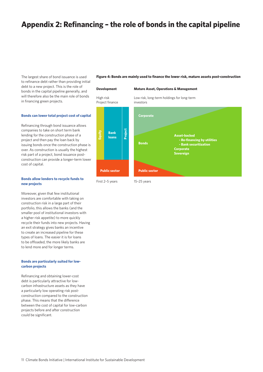### **Appendix 2: Refinancing – the role of bonds in the capital pipeline**

The largest share of bond issuance is used to refinance debt rather than providing initial debt to a new project. This is the role of bonds in the capital pipeline generally, and will therefore also be the main role of bonds in financing green projects.

#### **Bonds can lower total project cost of capital**

Refinancing through bond issuance allows companies to take on short term bank lending for the construction phase of a project and then pay the loan back by issuing bonds once the construction phase is over. As construction is usually the highest risk part of a project, bond issuance postconstruction can provide a longer-term lower cost of capital.

#### **Bonds allow lenders to recycle funds to new projects**

Moreover, given that few institutional investors are comfortable with taking on construction risk in a large part of their portfolio, this allows the banks (and the smaller pool of institutional investors with a higher risk appetite) to more quickly recycle their funds into new projects. Having an exit strategy gives banks an incentive to create an increased pipeline for these types of loans. The easier it is for loans to be offloaded, the more likely banks are to lend more and for longer terms.

#### **Bonds are particularly suited for lowcarbon projects**

Refinancing and obtaining lower-cost debt is particularly attractive for lowcarbon infrastructure assets as they have a particularly low operating risk postconstruction compared to the construction phase. This means that the difference between the cost of capital for low-carbon projects before and after construction could be significant.

**Figure 4: Bonds are mainly used to finance the lower risk, mature assets post-construction**